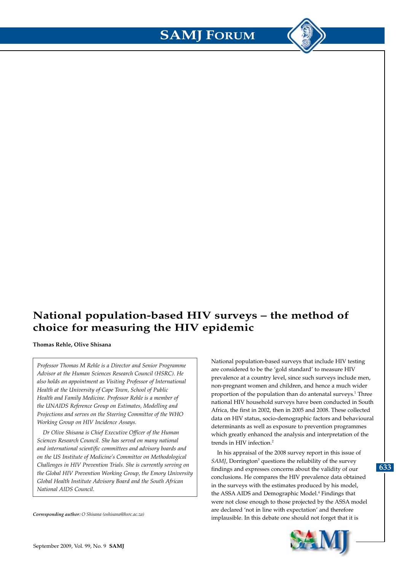## **National population-based HIV surveys – the method of choice for measuring the HIV epidemic**

**Thomas Rehle, Olive Shisana**

*Professor Thomas M Rehle is a Director and Senior Programme Advisor at the Human Sciences Research Council (HSRC). He also holds an appointment as Visiting Professor of International Health at the University of Cape Town, School of Public Health and Family Medicine. Professor Rehle is a member of the UNAIDS Reference Group on Estimates, Modelling and Projections and serves on the Steering Committee of the WHO Working Group on HIV Incidence Assays.*

*Dr Olive Shisana is Chief Executive Officer of the Human Sciences Research Council. She has served on many national and international scientific committees and advisory boards and on the US Institute of Medicine's Committee on Methodological Challenges in HIV Prevention Trials. She is currently serving on the Global HIV Prevention Working Group, the Emory University Global Health Institute Advisory Board and the South African National AIDS Council*.

*Corresponding author: O Shisana (oshisana@hsrc.ac.za)*

National population-based surveys that include HIV testing are considered to be the 'gold standard' to measure HIV prevalence at a country level, since such surveys include men, non-pregnant women and children, and hence a much wider proportion of the population than do antenatal surveys.<sup>1</sup> Three national HIV household surveys have been conducted in South Africa, the first in 2002, then in 2005 and 2008. These collected data on HIV status, socio-demographic factors and behavioural determinants as well as exposure to prevention programmes which greatly enhanced the analysis and interpretation of the trends in HIV infection.2

In his appraisal of the 2008 survey report in this issue of SAMJ, Dorrington<sup>3</sup> questions the reliability of the survey findings and expresses concerns about the validity of our conclusions. He compares the HIV prevalence data obtained in the surveys with the estimates produced by his model, the ASSA AIDS and Demographic Model.<sup>4</sup> Findings that were not close enough to those projected by the ASSA model are declared 'not in line with expectation' and therefore implausible. In this debate one should not forget that it is



**633**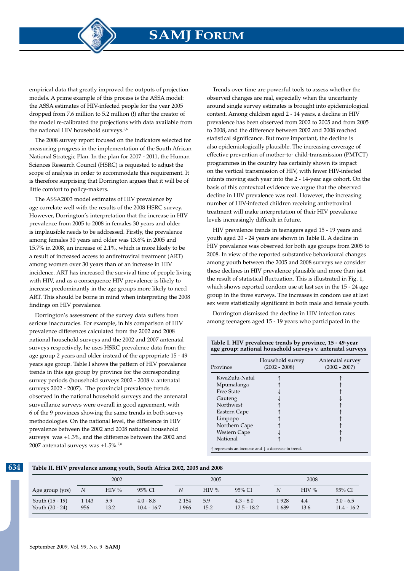**SAMJ FORUM**

empirical data that greatly improved the outputs of projection models. A prime example of this process is the ASSA model: the ASSA estimates of HIV-infected people for the year 2005 dropped from 7.6 million to 5.2 million (!) after the creator of the model re-calibrated the projections with data available from the national HIV household surveys.<sup>5,6</sup>

The 2008 survey report focused on the indicators selected for measuring progress in the implementation of the South African National Strategic Plan. In the plan for 2007 - 2011, the Human Sciences Research Council (HSRC) is requested to adjust the scope of analysis in order to accommodate this requirement. It is therefore surprising that Dorrington argues that it will be of little comfort to policy-makers.

The ASSA2003 model estimates of HIV prevalence by age correlate well with the results of the 2008 HSRC survey. However, Dorrington's interpretation that the increase in HIV prevalence from 2005 to 2008 in females 30 years and older is implausible needs to be addressed. Firstly, the prevalence among females 30 years and older was 13.6% in 2005 and 15.7% in 2008, an increase of 2.1%, which is more likely to be a result of increased access to antiretroviral treatment (ART) among women over 30 years than of an increase in HIV incidence. ART has increased the survival time of people living with HIV, and as a consequence HIV prevalence is likely to increase predominantly in the age groups more likely to need ART. This should be borne in mind when interpreting the 2008 findings on HIV prevalence.

Dorrington's assessment of the survey data suffers from serious inaccuracies. For example, in his comparison of HIV prevalence differences calculated from the 2002 and 2008 national household surveys and the 2002 and 2007 antenatal surveys respectively, he uses HSRC prevalence data from the age group 2 years and older instead of the appropriate 15 - 49 years age group. Table I shows the pattern of HIV prevalence trends in this age group by province for the corresponding survey periods (household surveys 2002 - 2008 v. antenatal surveys 2002 - 2007). The provincial prevalence trends observed in the national household surveys and the antenatal surveillance surveys were overall in good agreement, with 6 of the 9 provinces showing the same trends in both survey methodologies. On the national level, the difference in HIV prevalence between the 2002 and 2008 national household surveys was +1.3%, and the difference between the 2002 and 2007 antenatal surveys was  $+1.5\%$ .<sup>7,8</sup>

Trends over time are powerful tools to assess whether the observed changes are real, especially when the uncertainty around single survey estimates is brought into epidemiological context. Among children aged 2 - 14 years, a decline in HIV prevalence has been observed from 2002 to 2005 and from 2005 to 2008, and the difference between 2002 and 2008 reached statistical significance. But more important, the decline is also epidemiologically plausible. The increasing coverage of effective prevention of mother-to- child-transmission (PMTCT) programmes in the country has certainly shown its impact on the vertical transmission of HIV, with fewer HIV-infected infants moving each year into the 2 - 14-year age cohort. On the basis of this contextual evidence we argue that the observed decline in HIV prevalence was real. However, the increasing number of HIV-infected children receiving antiretroviral treatment will make interpretation of their HIV prevalence levels increasingly difficult in future.

HIV prevalence trends in teenagers aged 15 - 19 years and youth aged 20 - 24 years are shown in Table II. A decline in HIV prevalence was observed for both age groups from 2005 to 2008. In view of the reported substantive behavioural changes among youth between the 2005 and 2008 surveys we consider these declines in HIV prevalence plausible and more than just the result of statistical fluctuation. This is illustrated in Fig. 1, which shows reported condom use at last sex in the 15 - 24 age group in the three surveys. The increases in condom use at last sex were statistically significant in both male and female youth.

Dorrington dismissed the decline in HIV infection rates among teenagers aged 15 - 19 years who participated in the

| age group: national nousehold surveys v. antenatal surveys |                                     |                                     |  |  |
|------------------------------------------------------------|-------------------------------------|-------------------------------------|--|--|
| Province                                                   | Household survey<br>$(2002 - 2008)$ | Antenatal survey<br>$(2002 - 2007)$ |  |  |
| KwaZulu-Natal                                              |                                     |                                     |  |  |
| Mpumalanga                                                 |                                     |                                     |  |  |
| <b>Free State</b>                                          |                                     |                                     |  |  |
| Gauteng                                                    |                                     |                                     |  |  |
| Northwest                                                  |                                     |                                     |  |  |
| Eastern Cape                                               |                                     |                                     |  |  |
| Limpopo                                                    |                                     |                                     |  |  |

**Table I. HIV prevalence trends by province, 15 - 49-year age group: national household surveys v. antenatal surveys**

↑ represents an increase and ↓ a decrease in trend.

Northern Cape Western Cape National

**Table II. HIV prevalence among youth, South Africa 2002, 2005 and 2008**

|                                    | 2002           |             |                              | 2005             |             |                              | 2008           |             |                              |
|------------------------------------|----------------|-------------|------------------------------|------------------|-------------|------------------------------|----------------|-------------|------------------------------|
| Age group (yrs)                    | N              | HIV%        | 95% CI                       |                  | $HIV\%$     | 95% CI                       |                | $HIV\%$     | 95% CI                       |
| Youth (15 - 19)<br>Youth (20 - 24) | 1 1 4 3<br>956 | 5.9<br>13.2 | $4.0 - 8.8$<br>$10.4 - 16.7$ | 2 1 5 4<br>1 966 | 5.9<br>15.2 | $4.3 - 8.0$<br>$12.5 - 18.2$ | 1 928<br>. 689 | 4.4<br>13.6 | $3.0 - 6.5$<br>$11.4 - 16.2$ |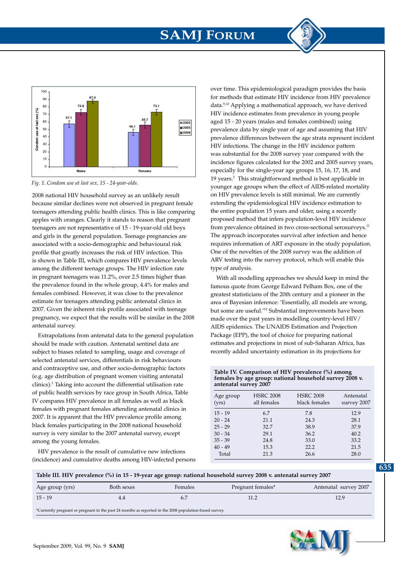# **SAMJ FORUM**



*Fig. 1. Condom use at last sex, 15 - 24-year-olds. Fig. 1. Condom use at last sex, 15 - 24-year-olds.*

2008 national HIV household survey as an unlikely result because similar declines were not observed in pregnant female teenagers attending public health clinics. This is like comparing apples with oranges. Clearly it stands to reason that pregnant teenagers are not representative of 15 - 19-year-old old boys **87.4** 90 and girls in the general population. Teenage pregnancies are **72.8 73.1** 80 associated with a socio-demographic and behavioural risk profile that greatly increases the risk of HIV infection. This **57.1 55.7** 60 is shown in Table III, which compares HIV prevalence levels among the different teenage groups. The HIV infection rate in pregnant teenagers was 11.2%, over 2.5 times higher than the prevalence found in the whole group, 4.4% for males and females combined. However, it was close to the prevalence estimate for teenagers attending public antenatal clinics in 2007. Given the inherent risk profile associated with teenage pregnancy, we expect that the results will be similar in the 2008 antenatal survey. **Condom use at last sex (%)**

Extrapolations from antenatal data to the general population should be made with caution. Antenatal sentinel data are subject to biases related to sampling, usage and coverage of selected antenatal services, differentials in risk behaviours and contraceptive use, and other socio-demographic factors (e.g. age distribution of pregnant women visiting antenatal clinics).1 Taking into account the differential utilisation rate of public health services by race group in South Africa, Table IV compares HIV prevalence in all females as well as black females with pregnant females attending antenatal clinics in 2007. It is apparent that the HIV prevalence profile among black females participating in the 2008 national household survey is very similar to the 2007 antenatal survey, except among the young females.

HIV prevalence is the result of cumulative new infections (incidence) and cumulative deaths among HIV-infected persons over time. This epidemiological paradigm provides the basis for methods that estimate HIV incidence from HIV prevalence data.9,10 Applying a mathematical approach, we have derived HIV incidence estimates from prevalence in young people aged 15 - 20 years (males and females combined) using prevalence data by single year of age and assuming that HIV prevalence differences between the age strata represent incident HIV infections. The change in the HIV incidence pattern was substantial for the 2008 survey year compared with the incidence figures calculated for the 2002 and 2005 survey years, especially for the single-year age groups 15, 16, 17, 18, and 19 years.<sup>2</sup> This straightforward method is best applicable in younger age groups when the effect of AIDS-related mortality on HIV prevalence levels is still minimal. We are currently extending the epidemiological HIV incidence estimation to the entire population 15 years and older, using a recently proposed method that infers population-level HIV incidence from prevalence obtained in two cross-sectional serosurveys.<sup>11</sup> The approach incorporates survival after infection and hence requires information of ART exposure in the study population. One of the novelties of the 2008 survey was the addition of ARV testing into the survey protocol, which will enable this type of analysis.

With all modelling approaches we should keep in mind the famous quote from George Edward Pelham Box, one of the greatest statisticians of the 20th century and a pioneer in the area of Bayesian inference: 'Essentially, all models are wrong, but some are useful.'12 Substantial improvements have been made over the past years in modelling country-level HIV/ AIDS epidemics. The UNAIDS Estimation and Projection Package (EPP), the tool of choice for preparing national estimates and projections in most of sub-Saharan Africa, has recently added uncertainty estimation in its projections for

#### **Table IV. Comparison of HIV prevalence (%) among females by age group: national household survey 2008 v. antenatal survey 2007**

| Age group<br>(yrs) | <b>HSRC 2008</b><br>all females | <b>HSRC 2008</b><br>black females | Antenatal<br>survey 2007 |
|--------------------|---------------------------------|-----------------------------------|--------------------------|
| $15 - 19$          | 6.7                             | 7.8                               | 12.9                     |
| $20 - 24$          | 21.1                            | 24.3                              | 28.1                     |
| $25 - 29$          | 32.7                            | 38.9                              | 37.9                     |
| $30 - 34$          | 29.1                            | 36.2                              | 40.2                     |
| $35 - 39$          | 24.8                            | 33.0                              | 33.2                     |
| $40 - 49$          | 15.3                            | 22.2                              | 21.5                     |
| Total              | 21.3                            | 26.6                              | 28.0                     |

| Age group (yrs)                                                                                        | Both sexes | Females | Pregnant females* | Antenatal survey 2007 |  |  |
|--------------------------------------------------------------------------------------------------------|------------|---------|-------------------|-----------------------|--|--|
| $15 - 19$                                                                                              |            |         |                   | 12.9                  |  |  |
| *Currently pregnant or pregnant in the past 24 months as reported in the 2008 population-based survey. |            |         |                   |                       |  |  |

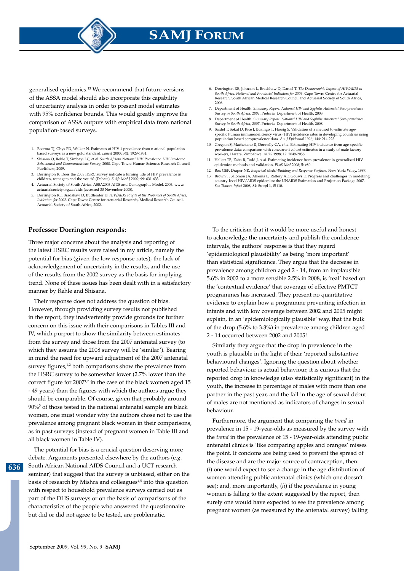**SAMJ FORUM**

generalised epidemics.13 We recommend that future versions of the ASSA model should also incorporate this capability of uncertainty analysis in order to present model estimates with 95% confidence bounds. This would greatly improve the comparison of ASSA outputs with empirical data from national population-based surveys.

- 1. Boerma TJ, Ghys PD, Walker N. Estimates of HIV-1 prevalence from n ational populationbased surveys as a new gold standard. *Lancet* 2003; 362: 1929-1931.
- 2. Shisana O, Rehle T, Simbayi LC, *et al. South African National HIV Prevalence, HIV Incidence, Behavioural and Communications Survey*, 2008. Cape Town: Human Sciences Research Council Publishers, 2009.
- 3. Dorrington R. Does the 2008 HSRC survey indicate a turning tide of HIV prevalence in children, teenagers and the youth? (Debate). *S Afr Med J* 2009; 99: 631-633.
- 4. Actuarial Society of South Africa. ASSA2003 AIDS and Demographic Model. 2005. www. actuarialsociety.org.za/aids (accessed 30 November 2005).
- 5. Dorrington RE, Bradshaw D, Budlender D. *HIV/AIDS Profile of the Provinces of South Africa, Indicators for 2002*. Cape Town: Centre for Actuarial Research, Medical Research Council, Actuarial Society of South Africa, 2002.

### **Professor Dorrington responds:**

Three major concerns about the analysis and reporting of the latest HSRC results were raised in my article, namely the potential for bias (given the low response rates), the lack of acknowledgement of uncertainty in the results, and the use of the results from the 2002 survey as the basis for implying trend. None of these issues has been dealt with in a satisfactory manner by Rehle and Shisana.

Their response does not address the question of bias. However, through providing survey results not published in the report, they inadvertently provide grounds for further concern on this issue with their comparisons in Tables III and IV, which purport to show the similarity between estimates from the survey and those from the 2007 antenatal survey (to which they assume the 2008 survey will be 'similar'). Bearing in mind the need for upward adjustment of the 2007 antenatal survey figures,<sup>1,2</sup> both comparisons show the prevalence from the HSRC survey to be somewhat lower (2.7% lower than the correct figure for  $2007^{1,2}$  in the case of the black women aged 15 - 49 years) than the figures with which the authors argue they should be comparable. Of course, given that probably around 90%3 of those tested in the national antenatal sample are black women, one must wonder why the authors chose not to use the prevalence among pregnant black women in their comparisons, as in past surveys (instead of pregnant women in Table III and all black women in Table IV).

The potential for bias is a crucial question deserving more debate. Arguments presented elsewhere by the authors (e.g. South African National AIDS Council and a UCT research seminar) that suggest that the survey is unbiased, either on the basis of research by Mishra and colleagues<sup>4,5</sup> into this question with respect to household prevalence surveys carried out as part of the DHS surveys or on the basis of comparisons of the characteristics of the people who answered the questionnaire but did or did not agree to be tested, are problematic.

- 6. Dorrington RE, Johnson L, Bradshaw D, Daniel T. *The Demographic Impact of HIV/AIDS in South Africa. National and Provincial Indicators for 2006*. Cape Town: Centre for Actuarial Research, South African Medical Research Council and Actuarial Society of South Africa, 2006.
- 7. Department of Health. *Summary Report: National HIV and Syphilis Antenatal Sero-prevalence Survey in South Africa, 2002*. Pretoria: Department of Health, 2003.
- 8. Department of Health. *Summary Report: National HIV and Syphilis Antenatal Sero-prevalence Survey in South Africa, 2007*. Pretoria: Department of Health, 2008.
- Saidel T, Sokal D, Rice J, Buzingo T, Hassig S. Validation of a method to estimate agespecific human immunodeficiency virus (HIV) incidence rates in developing countries using population-based seroprevalence data. *Am J Epidemiol* 1996; 144: 214-223.
- 10. Gregson S, Machekano R, Donnelly CA, *et al*. Estimating HIV incidence from age-specific prevalence data: comparison with concurrent cohort estimates in a study of male factory workers, Harare, Zimbabwe. *AIDS* 1998; 12: 2049-2058.
- 11. Hallett TB, Zaba B, Todd J, *et al*. Estimating incidence from prevalence in generalised HIV epidemics: methods and validation. *PLoS Med* 2008; 5: e80.
- 12. Box GEP, Draper NR. *Empirical Model-Building and Response Surfaces*. New York: Wiley, 1987.
- 13. Brown T, Salomon JA, Alkema L, Raftery AE, Gouws E. Progress and challenges in modelling country-level HIV/AIDS epidemics: the UNAIDS Estimation and Projection Package 2007. *Sex Transm Infect* 2008; 84: Suppl 1, i5-i10.

To the criticism that it would be more useful and honest to acknowledge the uncertainty and publish the confidence intervals, the authors' response is that they regard 'epidemiological plausibility' as being 'more important' than statistical significance. They argue that the decrease in prevalence among children aged 2 - 14, from an implausible 5.6% in 2002 to a more sensible 2.5% in 2008, is 'real' based on the 'contextual evidence' that coverage of effective PMTCT programmes has increased. They present no quantitative evidence to explain how a programme preventing infection in infants and with low coverage between 2002 and 2005 might explain, in an 'epidemiologically plausible' way, that the bulk of the drop (5.6% to 3.3%) in prevalence among children aged 2 - 14 occurred between 2002 and 2005!

Similarly they argue that the drop in prevalence in the youth is plausible in the light of their 'reported substantive behavioural changes'. Ignoring the question about whether reported behaviour is actual behaviour, it is curious that the reported drop in knowledge (also statistically significant) in the youth, the increase in percentage of males with more than one partner in the past year, and the fall in the age of sexual debut of males are not mentioned as indicators of changes in sexual behaviour.

Furthermore, the argument that comparing the *trend* in prevalence in 15 - 19-year-olds as measured by the survey with the *trend* in the prevalence of 15 - 19-year-olds attending public antenatal clinics is 'like comparing apples and oranges' misses the point. If condoms are being used to prevent the spread of the disease and are the major source of contraception, then: (*i*) one would expect to see a change in the age distribution of women attending public antenatal clinics (which one doesn't see); and, more importantly, (*ii*) if the prevalence in young women is falling to the extent suggested by the report, then surely one would have expected to see the prevalence among pregnant women (as measured by the antenatal survey) falling